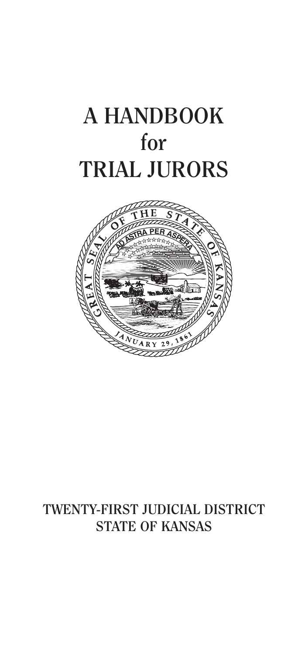# **A HANDBOOK for TRIAL JURORS**



## **TWENTY-FIRST JUDICIAL DISTRICT STATE OF KANSAS**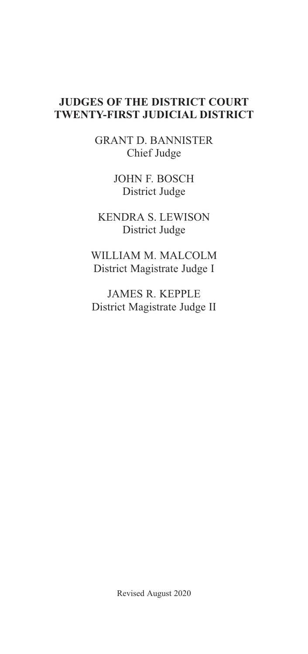#### **JUDGES OF THE DISTRICT COURT TWENTY-FIRST JUDICIAL DISTRICT**

GRANT D. BANNISTER Chief Judge

> JOHN F. BOSCH District Judge

KENDRA S. LEWISON District Judge

WILLIAM M. MALCOLM District Magistrate Judge I

JAMES R. KEPPLE District Magistrate Judge II

Revised August 2020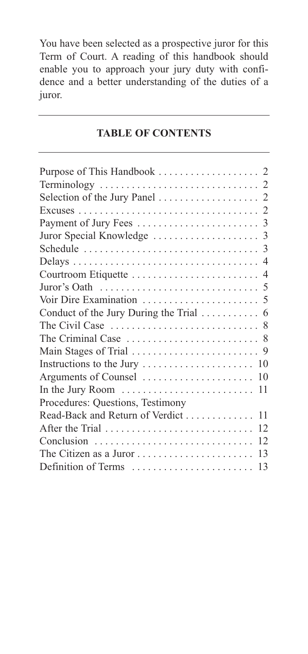You have been selected as a prospective juror for this Term of Court. A reading of this handbook should enable you to approach your jury duty with confidence and a better understanding of the duties of a juror.

#### **TABLE OF CONTENTS**

| In the Jury Room                   | 11 |
|------------------------------------|----|
| Procedures: Questions, Testimony   |    |
| Read-Back and Return of Verdict 11 |    |
| After the Trial                    | 12 |
| Conclusion                         | 12 |
| The Citizen as a Juror             | 13 |
| Definition of Terms                | 13 |
|                                    |    |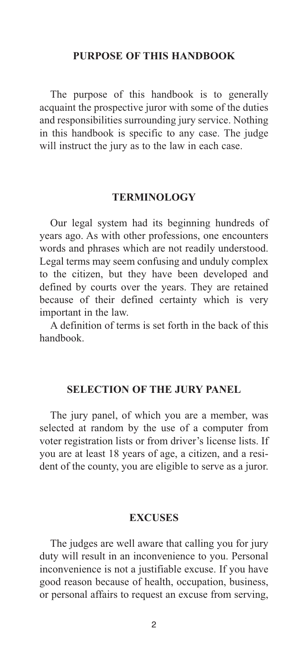#### **PURPOSE OF THIS HANDBOOK**

The purpose of this handbook is to generally acquaint the prospective juror with some of the duties and responsibilities surrounding jury service. Nothing in this handbook is specific to any case. The judge will instruct the jury as to the law in each case.

#### **TERMINOLOGY**

Our legal system had its beginning hundreds of years ago. As with other professions, one encounters words and phrases which are not readily understood. Legal terms may seem confusing and unduly complex to the citizen, but they have been developed and defined by courts over the years. They are retained because of their defined certainty which is very important in the law.

A definition of terms is set forth in the back of this handbook.

#### **SELECTION OF THE JURY PANEL**

The jury panel, of which you are a member, was selected at random by the use of a computer from voter registration lists or from driver's license lists. If you are at least 18 years of age, a citizen, and a resident of the county, you are eligible to serve as a juror.

#### **EXCUSES**

The judges are well aware that calling you for jury duty will result in an inconvenience to you. Personal inconvenience is not a justifiable excuse. If you have good reason because of health, occupation, business, or personal affairs to request an excuse from serving,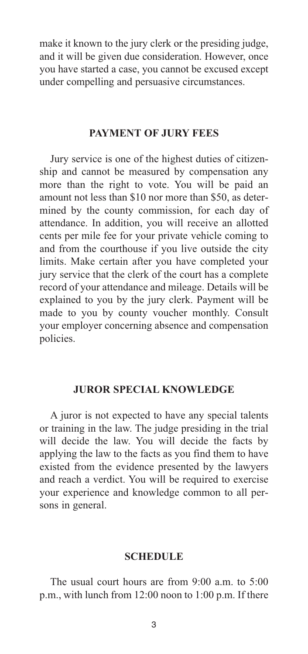make it known to the jury clerk or the presiding judge, and it will be given due consideration. However, once you have started a case, you cannot be excused except under compelling and persuasive circumstances.

#### **PAYMENT OF JURY FEES**

Jury service is one of the highest duties of citizenship and cannot be measured by compensation any more than the right to vote. You will be paid an amount not less than \$10 nor more than \$50, as determined by the county commission, for each day of attendance. In addition, you will receive an allotted cents per mile fee for your private vehicle coming to and from the courthouse if you live outside the city limits. Make certain after you have completed your jury service that the clerk of the court has a complete record of your attendance and mileage. Details will be explained to you by the jury clerk. Payment will be made to you by county voucher monthly. Consult your employer concerning absence and compensation policies.

#### **JUROR SPECIAL KNOWLEDGE**

A juror is not expected to have any special talents or training in the law. The judge presiding in the trial will decide the law. You will decide the facts by applying the law to the facts as you find them to have existed from the evidence presented by the lawyers and reach a verdict. You will be required to exercise your experience and knowledge common to all persons in general.

#### **SCHEDULE**

The usual court hours are from 9:00 a.m. to 5:00 p.m., with lunch from 12:00 noon to 1:00 p.m. If there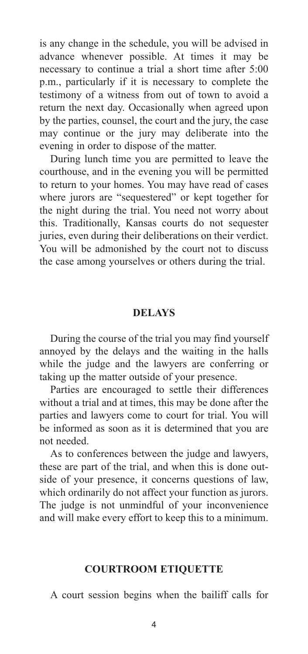is any change in the schedule, you will be advised in advance whenever possible. At times it may be necessary to continue a trial a short time after 5:00 p.m., particularly if it is necessary to complete the testimony of a witness from out of town to avoid a return the next day. Occasionally when agreed upon by the parties, counsel, the court and the jury, the case may continue or the jury may deliberate into the evening in order to dispose of the matter.

During lunch time you are permitted to leave the courthouse, and in the evening you will be permitted to return to your homes. You may have read of cases where jurors are "sequestered" or kept together for the night during the trial. You need not worry about this. Traditionally, Kansas courts do not sequester juries, even during their deliberations on their verdict. You will be admonished by the court not to discuss the case among yourselves or others during the trial.

#### **DELAYS**

During the course of the trial you may find yourself annoyed by the delays and the waiting in the halls while the judge and the lawyers are conferring or taking up the matter outside of your presence.

Parties are encouraged to settle their differences without a trial and at times, this may be done after the parties and lawyers come to court for trial. You will be informed as soon as it is determined that you are not needed.

As to conferences between the judge and lawyers, these are part of the trial, and when this is done outside of your presence, it concerns questions of law, which ordinarily do not affect your function as jurors. The judge is not unmindful of your inconvenience and will make every effort to keep this to a minimum.

#### **COURTROOM ETIQUETTE**

A court session begins when the bailiff calls for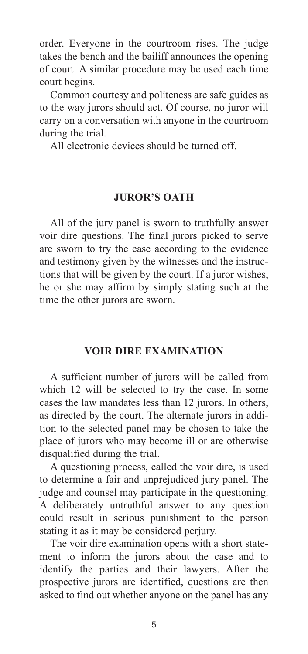order. Everyone in the courtroom rises. The judge takes the bench and the bailiff announces the opening of court. A similar procedure may be used each time court begins.

Common courtesy and politeness are safe guides as to the way jurors should act. Of course, no juror will carry on a conversation with anyone in the courtroom during the trial.

All electronic devices should be turned off.

#### **JUROR'S OATH**

All of the jury panel is sworn to truthfully answer voir dire questions. The final jurors picked to serve are sworn to try the case according to the evidence and testimony given by the witnesses and the instructions that will be given by the court. If a juror wishes, he or she may affirm by simply stating such at the time the other jurors are sworn.

#### **VOIR DIRE EXAMINATION**

A sufficient number of jurors will be called from which 12 will be selected to try the case. In some cases the law mandates less than 12 jurors. In others, as directed by the court. The alternate jurors in addition to the selected panel may be chosen to take the place of jurors who may become ill or are otherwise disqualified during the trial.

A questioning process, called the voir dire, is used to determine a fair and unprejudiced jury panel. The judge and counsel may participate in the questioning. A deliberately untruthful answer to any question could result in serious punishment to the person stating it as it may be considered perjury.

The voir dire examination opens with a short statement to inform the jurors about the case and to identify the parties and their lawyers. After the prospective jurors are identified, questions are then asked to find out whether anyone on the panel has any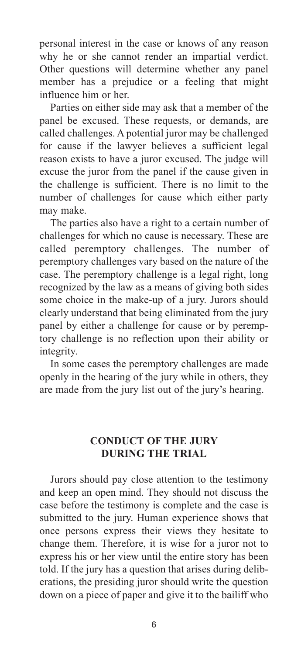personal interest in the case or knows of any reason why he or she cannot render an impartial verdict. Other questions will determine whether any panel member has a prejudice or a feeling that might influence him or her.

Parties on either side may ask that a member of the panel be excused. These requests, or demands, are called challenges. A potential juror may be challenged for cause if the lawyer believes a sufficient legal reason exists to have a juror excused. The judge will excuse the juror from the panel if the cause given in the challenge is sufficient. There is no limit to the number of challenges for cause which either party may make.

The parties also have a right to a certain number of challenges for which no cause is necessary. These are called peremptory challenges. The number of peremptory challenges vary based on the nature of the case. The peremptory challenge is a legal right, long recognized by the law as a means of giving both sides some choice in the make-up of a jury. Jurors should clearly understand that being eliminated from the jury panel by either a challenge for cause or by peremptory challenge is no reflection upon their ability or integrity.

In some cases the peremptory challenges are made openly in the hearing of the jury while in others, they are made from the jury list out of the jury's hearing.

#### **CONDUCT OF THE JURY DURING THE TRIAL**

Jurors should pay close attention to the testimony and keep an open mind. They should not discuss the case before the testimony is complete and the case is submitted to the jury. Human experience shows that once persons express their views they hesitate to change them. Therefore, it is wise for a juror not to express his or her view until the entire story has been told. If the jury has a question that arises during deliberations, the presiding juror should write the question down on a piece of paper and give it to the bailiff who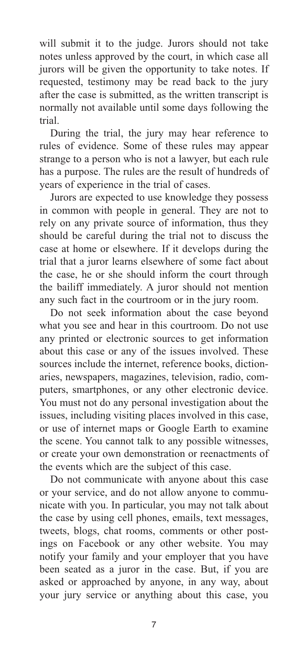will submit it to the judge. Jurors should not take notes unless approved by the court, in which case all jurors will be given the opportunity to take notes. If requested, testimony may be read back to the jury after the case is submitted, as the written transcript is normally not available until some days following the trial.

During the trial, the jury may hear reference to rules of evidence. Some of these rules may appear strange to a person who is not a lawyer, but each rule has a purpose. The rules are the result of hundreds of years of experience in the trial of cases.

Jurors are expected to use knowledge they possess in common with people in general. They are not to rely on any private source of information, thus they should be careful during the trial not to discuss the case at home or elsewhere. If it develops during the trial that a juror learns elsewhere of some fact about the case, he or she should inform the court through the bailiff immediately. A juror should not mention any such fact in the courtroom or in the jury room.

Do not seek information about the case beyond what you see and hear in this courtroom. Do not use any printed or electronic sources to get information about this case or any of the issues involved. These sources include the internet, reference books, dictionaries, newspapers, magazines, television, radio, computers, smartphones, or any other electronic device. You must not do any personal investigation about the issues, including visiting places involved in this case, or use of internet maps or Google Earth to examine the scene. You cannot talk to any possible witnesses, or create your own demonstration or reenactments of the events which are the subject of this case.

Do not communicate with anyone about this case or your service, and do not allow anyone to communicate with you. In particular, you may not talk about the case by using cell phones, emails, text messages, tweets, blogs, chat rooms, comments or other postings on Facebook or any other website. You may notify your family and your employer that you have been seated as a juror in the case. But, if you are asked or approached by anyone, in any way, about your jury service or anything about this case, you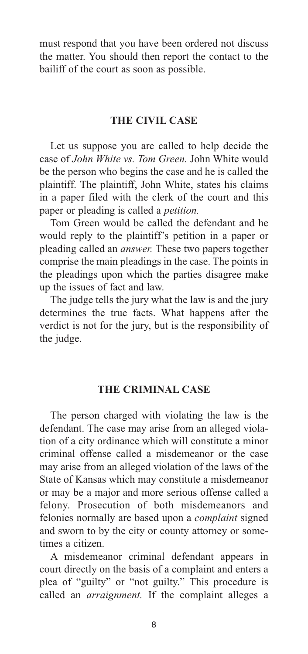must respond that you have been ordered not discuss the matter. You should then report the contact to the bailiff of the court as soon as possible.

#### **THE CIVIL CASE**

Let us suppose you are called to help decide the case of *John White vs. Tom Green.* John White would be the person who begins the case and he is called the plaintiff. The plaintiff, John White, states his claims in a paper filed with the clerk of the court and this paper or pleading is called a *petition.*

Tom Green would be called the defendant and he would reply to the plaintiff's petition in a paper or pleading called an *answer.* These two papers together comprise the main pleadings in the case. The points in the pleadings upon which the parties disagree make up the issues of fact and law.

The judge tells the jury what the law is and the jury determines the true facts. What happens after the verdict is not for the jury, but is the responsibility of the judge.

#### **THE CRIMINAL CASE**

The person charged with violating the law is the defendant. The case may arise from an alleged violation of a city ordinance which will constitute a minor criminal offense called a misdemeanor or the case may arise from an alleged violation of the laws of the State of Kansas which may constitute a misdemeanor or may be a major and more serious offense called a felony. Prosecution of both misdemeanors and felonies normally are based upon a *complaint* signed and sworn to by the city or county attorney or sometimes a citizen.

A misdemeanor criminal defendant appears in court directly on the basis of a complaint and enters a plea of "guilty" or "not guilty." This procedure is called an *arraignment.* If the complaint alleges a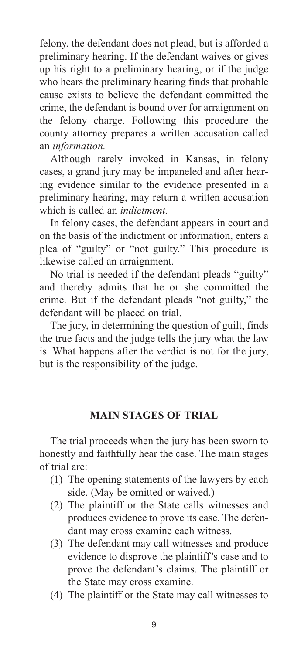felony, the defendant does not plead, but is afforded a preliminary hearing. If the defendant waives or gives up his right to a preliminary hearing, or if the judge who hears the preliminary hearing finds that probable cause exists to believe the defendant committed the crime, the defendant is bound over for arraignment on the felony charge. Following this procedure the county attorney prepares a written accusation called an *information.*

Although rarely invoked in Kansas, in felony cases, a grand jury may be impaneled and after hearing evidence similar to the evidence presented in a preliminary hearing, may return a written accusation which is called an *indictment.*

In felony cases, the defendant appears in court and on the basis of the indictment or information, enters a plea of "guilty" or "not guilty." This procedure is likewise called an arraignment.

No trial is needed if the defendant pleads "guilty" and thereby admits that he or she committed the crime. But if the defendant pleads "not guilty," the defendant will be placed on trial.

The jury, in determining the question of guilt, finds the true facts and the judge tells the jury what the law is. What happens after the verdict is not for the jury, but is the responsibility of the judge.

#### **MAIN STAGES OF TRIAL**

The trial proceeds when the jury has been sworn to honestly and faithfully hear the case. The main stages of trial are:

- (1) The opening statements of the lawyers by each side. (May be omitted or waived.)
- (2) The plaintiff or the State calls witnesses and produces evidence to prove its case. The defendant may cross examine each witness.
- (3) The defendant may call witnesses and produce evidence to disprove the plaintiff's case and to prove the defendant's claims. The plaintiff or the State may cross examine.
- (4) The plaintiff or the State may call witnesses to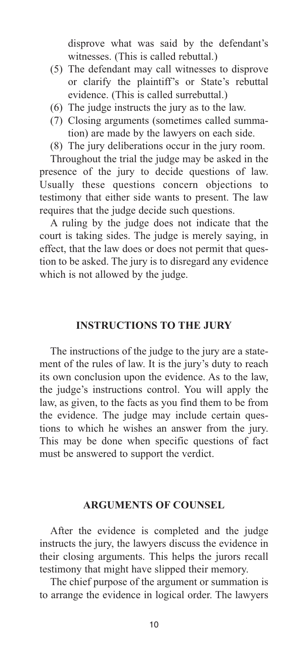disprove what was said by the defendant's witnesses. (This is called rebuttal.)

- (5) The defendant may call witnesses to disprove or clarify the plaintiff's or State's rebuttal evidence. (This is called surrebuttal.)
- (6) The judge instructs the jury as to the law.
- (7) Closing arguments (sometimes called summation) are made by the lawyers on each side.
- (8) The jury deliberations occur in the jury room.

Throughout the trial the judge may be asked in the presence of the jury to decide questions of law. Usually these questions concern objections to testimony that either side wants to present. The law requires that the judge decide such questions.

A ruling by the judge does not indicate that the court is taking sides. The judge is merely saying, in effect, that the law does or does not permit that question to be asked. The jury is to disregard any evidence which is not allowed by the judge.

#### **INSTRUCTIONS TO THE JURY**

The instructions of the judge to the jury are a statement of the rules of law. It is the jury's duty to reach its own conclusion upon the evidence. As to the law, the judge's instructions control. You will apply the law, as given, to the facts as you find them to be from the evidence. The judge may include certain questions to which he wishes an answer from the jury. This may be done when specific questions of fact must be answered to support the verdict.

#### **ARGUMENTS OF COUNSEL**

After the evidence is completed and the judge instructs the jury, the lawyers discuss the evidence in their closing arguments. This helps the jurors recall testimony that might have slipped their memory.

The chief purpose of the argument or summation is to arrange the evidence in logical order. The lawyers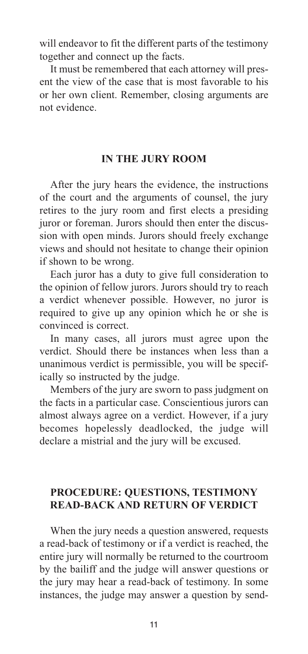will endeavor to fit the different parts of the testimony together and connect up the facts.

It must be remembered that each attorney will present the view of the case that is most favorable to his or her own client. Remember, closing arguments are not evidence.

#### **IN THE JURY ROOM**

After the jury hears the evidence, the instructions of the court and the arguments of counsel, the jury retires to the jury room and first elects a presiding juror or foreman. Jurors should then enter the discussion with open minds. Jurors should freely exchange views and should not hesitate to change their opinion if shown to be wrong.

Each juror has a duty to give full consideration to the opinion of fellow jurors. Jurors should try to reach a verdict whenever possible. However, no juror is required to give up any opinion which he or she is convinced is correct.

In many cases, all jurors must agree upon the verdict. Should there be instances when less than a unanimous verdict is permissible, you will be specifically so instructed by the judge.

Members of the jury are sworn to pass judgment on the facts in a particular case. Conscientious jurors can almost always agree on a verdict. However, if a jury becomes hopelessly deadlocked, the judge will declare a mistrial and the jury will be excused.

#### **PROCEDURE: QUESTIONS, TESTIMONY READ-BACK AND RETURN OF VERDICT**

When the jury needs a question answered, requests a read-back of testimony or if a verdict is reached, the entire jury will normally be returned to the courtroom by the bailiff and the judge will answer questions or the jury may hear a read-back of testimony. In some instances, the judge may answer a question by send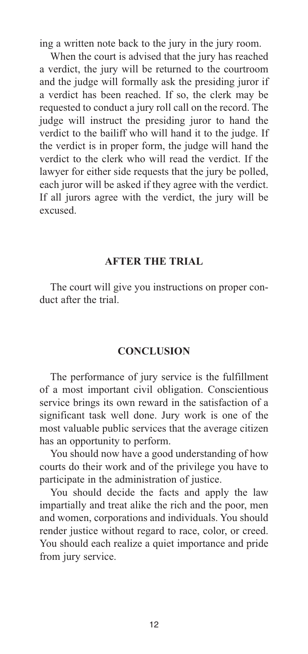ing a written note back to the jury in the jury room.

When the court is advised that the jury has reached a verdict, the jury will be returned to the courtroom and the judge will formally ask the presiding juror if a verdict has been reached. If so, the clerk may be requested to conduct a jury roll call on the record. The judge will instruct the presiding juror to hand the verdict to the bailiff who will hand it to the judge. If the verdict is in proper form, the judge will hand the verdict to the clerk who will read the verdict. If the lawyer for either side requests that the jury be polled, each juror will be asked if they agree with the verdict. If all jurors agree with the verdict, the jury will be excused.

#### **AFTER THE TRIAL**

The court will give you instructions on proper conduct after the trial.

#### **CONCLUSION**

The performance of jury service is the fulfillment of a most important civil obligation. Conscientious service brings its own reward in the satisfaction of a significant task well done. Jury work is one of the most valuable public services that the average citizen has an opportunity to perform.

You should now have a good understanding of how courts do their work and of the privilege you have to participate in the administration of justice.

You should decide the facts and apply the law impartially and treat alike the rich and the poor, men and women, corporations and individuals. You should render justice without regard to race, color, or creed. You should each realize a quiet importance and pride from jury service.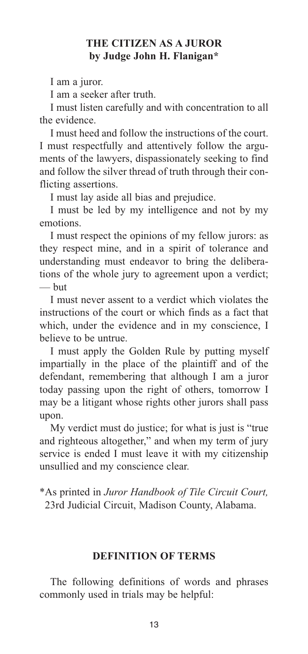#### **THE CITIZEN AS A JUROR by Judge John H. Flanigan\***

I am a juror.

I am a seeker after truth.

I must listen carefully and with concentration to all the evidence.

I must heed and follow the instructions of the court. I must respectfully and attentively follow the arguments of the lawyers, dispassionately seeking to find and follow the silver thread of truth through their conflicting assertions.

I must lay aside all bias and prejudice.

I must be led by my intelligence and not by my emotions.

I must respect the opinions of my fellow jurors: as they respect mine, and in a spirit of tolerance and understanding must endeavor to bring the deliberations of the whole jury to agreement upon a verdict; — but

I must never assent to a verdict which violates the instructions of the court or which finds as a fact that which, under the evidence and in my conscience, I believe to be untrue.

I must apply the Golden Rule by putting myself impartially in the place of the plaintiff and of the defendant, remembering that although I am a juror today passing upon the right of others, tomorrow I may be a litigant whose rights other jurors shall pass upon.

My verdict must do justice; for what is just is "true and righteous altogether," and when my term of jury service is ended I must leave it with my citizenship unsullied and my conscience clear.

\*As printed in *Juror Handbook of Tile Circuit Court,* 23rd Judicial Circuit, Madison County, Alabama.

#### **DEFINITION OF TERMS**

The following definitions of words and phrases commonly used in trials may be helpful: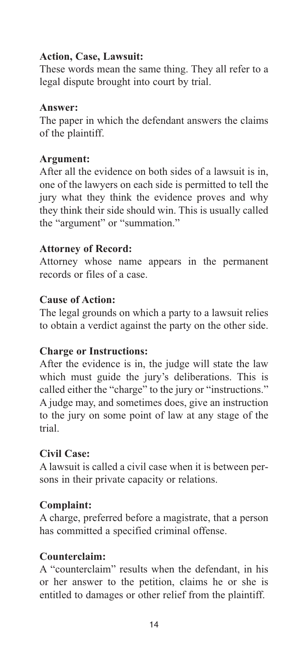## **Action, Case, Lawsuit:**

These words mean the same thing. They all refer to a legal dispute brought into court by trial.

#### **Answer:**

The paper in which the defendant answers the claims of the plaintiff.

## **Argument:**

After all the evidence on both sides of a lawsuit is in, one of the lawyers on each side is permitted to tell the jury what they think the evidence proves and why they think their side should win. This is usually called the "argument" or "summation."

## **Attorney of Record:**

Attorney whose name appears in the permanent records or files of a case.

## **Cause of Action:**

The legal grounds on which a party to a lawsuit relies to obtain a verdict against the party on the other side.

## **Charge or Instructions:**

After the evidence is in, the judge will state the law which must guide the jury's deliberations. This is called either the "charge" to the jury or "instructions." A judge may, and sometimes does, give an instruction to the jury on some point of law at any stage of the trial.

## **Civil Case:**

A lawsuit is called a civil case when it is between persons in their private capacity or relations.

## **Complaint:**

A charge, preferred before a magistrate, that a person has committed a specified criminal offense.

## **Counterclaim:**

A "counterclaim" results when the defendant, in his or her answer to the petition, claims he or she is entitled to damages or other relief from the plaintiff.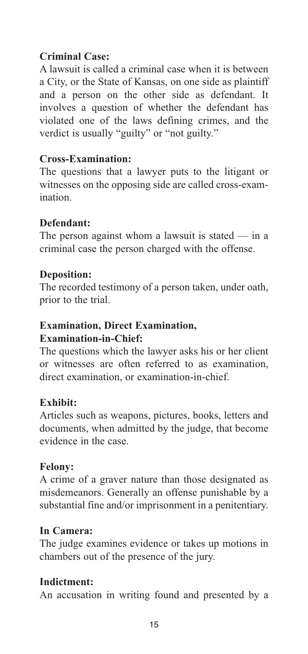## **Criminal Case:**

A lawsuit is called a criminal case when it is between a City, or the State of Kansas, on one side as plaintiff and a person on the other side as defendant. It involves a question of whether the defendant has violated one of the laws defining crimes, and the verdict is usually "guilty" or "not guilty."

## **Cross-Examination:**

The questions that a lawyer puts to the litigant or witnesses on the opposing side are called cross-examination.

## **Defendant:**

The person against whom a lawsuit is stated  $-$  in a criminal case the person charged with the offense.

#### **Deposition:**

The recorded testimony of a person taken, under oath, prior to the trial.

#### **Examination, Direct Examination, Examination-in-Chief:**

The questions which the lawyer asks his or her client or witnesses are often referred to as examination, direct examination, or examination-in-chief.

#### **Exhibit:**

Articles such as weapons, pictures, books, letters and documents, when admitted by the judge, that become evidence in the case.

#### **Felony:**

A crime of a graver nature than those designated as misdemeanors. Generally an offense punishable by a substantial fine and/or imprisonment in a penitentiary.

#### **In Camera:**

The judge examines evidence or takes up motions in chambers out of the presence of the jury.

## **Indictment:**

An accusation in writing found and presented by a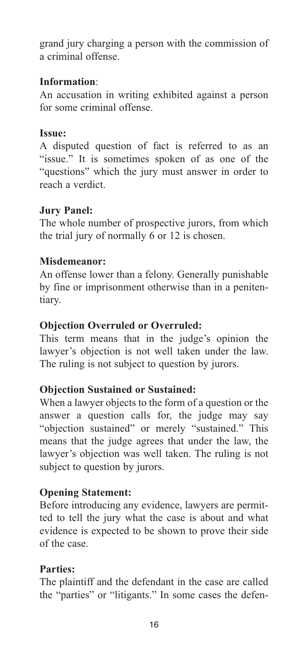grand jury charging a person with the commission of a criminal offense.

## **Information**:

An accusation in writing exhibited against a person for some criminal offense.

## **Issue:**

A disputed question of fact is referred to as an "issue." It is sometimes spoken of as one of the "questions" which the jury must answer in order to reach a verdict.

## **Jury Panel:**

The whole number of prospective jurors, from which the trial jury of normally 6 or 12 is chosen.

## **Misdemeanor:**

An offense lower than a felony. Generally punishable by fine or imprisonment otherwise than in a penitentiary.

## **Objection Overruled or Overruled:**

This term means that in the judge's opinion the lawyer's objection is not well taken under the law. The ruling is not subject to question by jurors.

## **Objection Sustained or Sustained:**

When a lawyer objects to the form of a question or the answer a question calls for, the judge may say "objection sustained" or merely "sustained." This means that the judge agrees that under the law, the lawyer's objection was well taken. The ruling is not subject to question by jurors.

## **Opening Statement:**

Before introducing any evidence, lawyers are permitted to tell the jury what the case is about and what evidence is expected to be shown to prove their side of the case.

## **Parties:**

The plaintiff and the defendant in the case are called the "parties" or "litigants." In some cases the defen